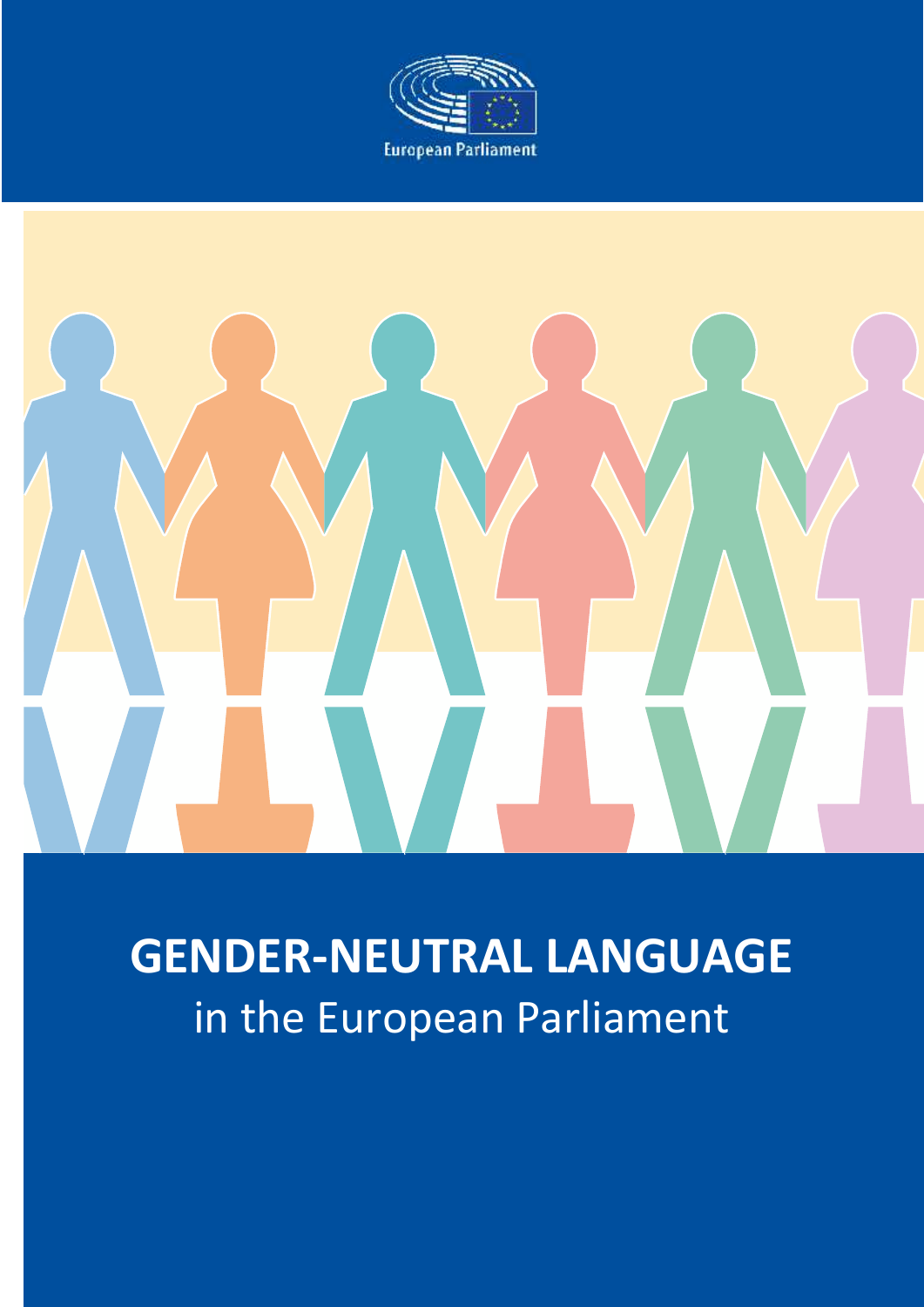

# **GENDER-NEUTRAL LANGUAGE** in the European Parliament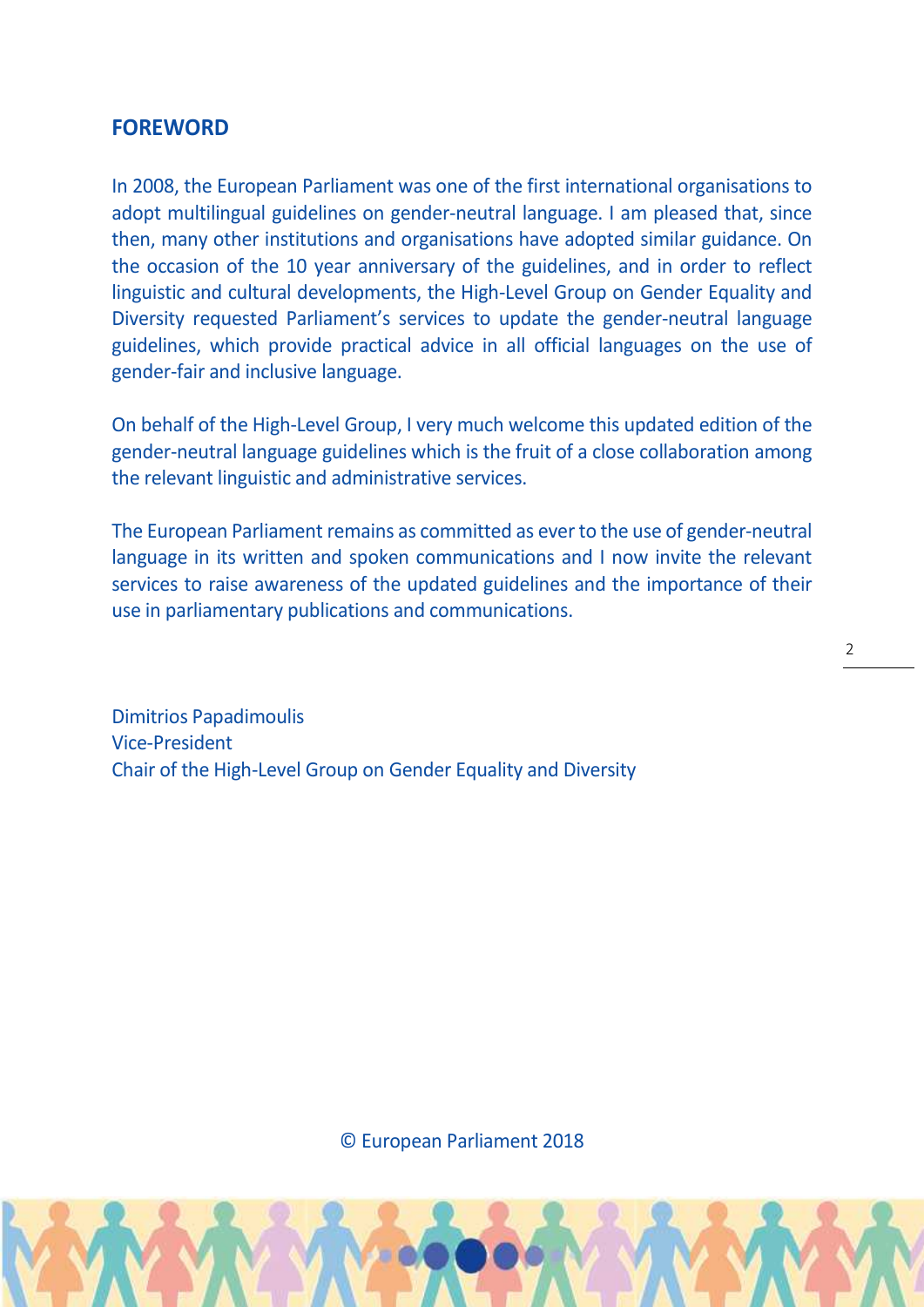# **FOREWORD**

In 2008, the European Parliament was one of the first international organisations to adopt multilingual guidelines on gender-neutral language. I am pleased that, since then, many other institutions and organisations have adopted similar guidance. On the occasion of the 10 year anniversary of the guidelines, and in order to reflect linguistic and cultural developments, the High-Level Group on Gender Equality and Diversity requested Parliament's services to update the gender-neutral language guidelines, which provide practical advice in all official languages on the use of gender-fair and inclusive language.

On behalf of the High-Level Group, I very much welcome this updated edition of the gender-neutral language guidelines which is the fruit of a close collaboration among the relevant linguistic and administrative services.

The European Parliament remains as committed as ever to the use of gender-neutral language in its written and spoken communications and I now invite the relevant services to raise awareness of the updated guidelines and the importance of their use in parliamentary publications and communications.

Dimitrios Papadimoulis Vice-President Chair of the High-Level Group on Gender Equality and Diversity

© European Parliament 2018

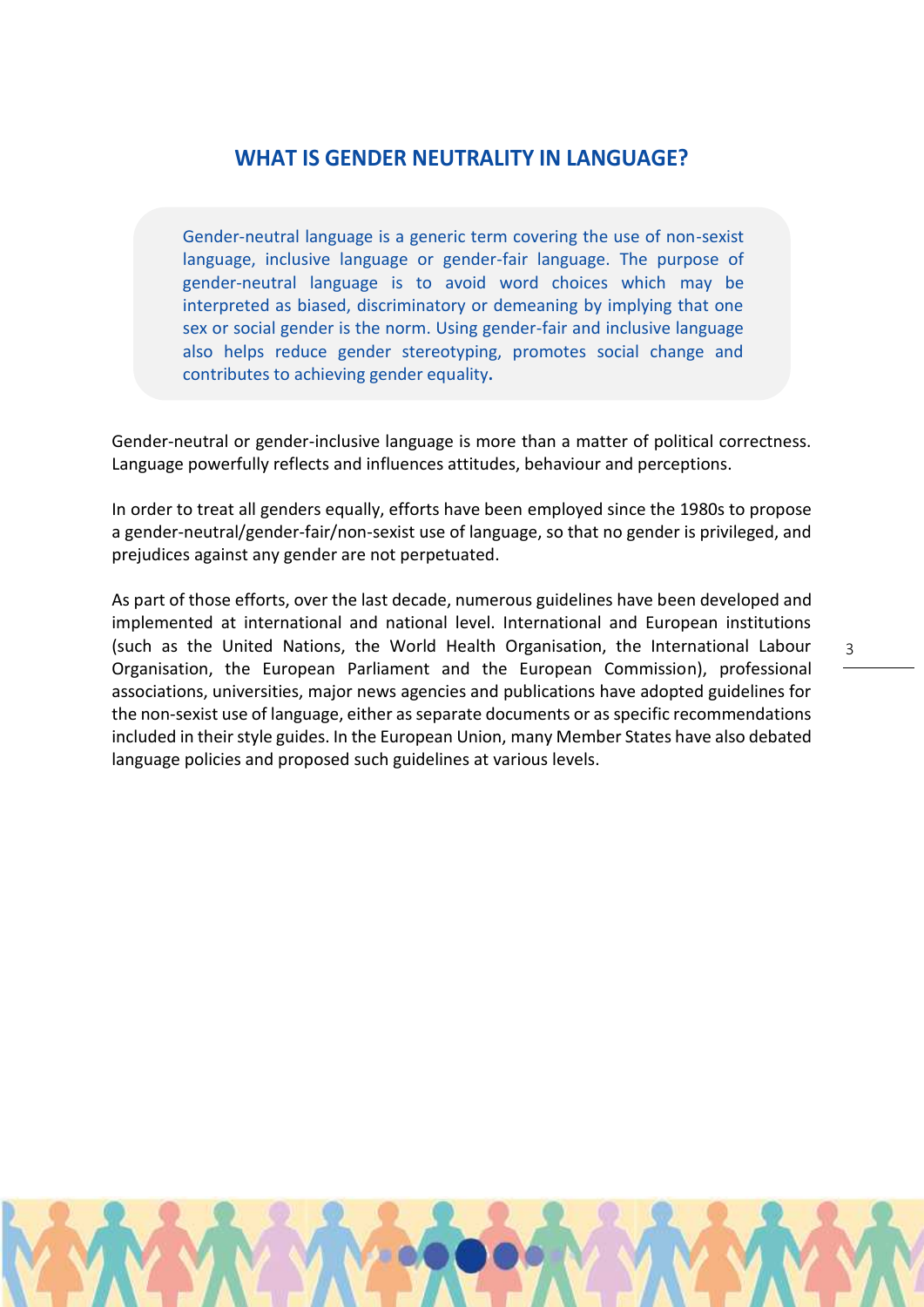# **WHAT IS GENDER NEUTRALITY IN LANGUAGE?**

Gender-neutral language is a generic term covering the use of non-sexist language, inclusive language or gender-fair language. The purpose of gender-neutral language is to avoid word choices which may be interpreted as biased, discriminatory or demeaning by implying that one sex or social gender is the norm. Using gender-fair and inclusive language also helps reduce gender stereotyping, promotes social change and contributes to achieving gender equality**.**

Gender-neutral or gender-inclusive language is more than a matter of political correctness. Language powerfully reflects and influences attitudes, behaviour and perceptions.

In order to treat all genders equally, efforts have been employed since the 1980s to propose a gender-neutral/gender-fair/non-sexist use of language, so that no gender is privileged, and prejudices against any gender are not perpetuated.

As part of those efforts, over the last decade, numerous guidelines have been developed and implemented at international and national level. International and European institutions (such as the United Nations, the World Health Organisation, the International Labour Organisation, the European Parliament and the European Commission), professional associations, universities, major news agencies and publications have adopted guidelines for the non-sexist use of language, either as separate documents or as specific recommendations included in their style guides. In the European Union, many Member States have also debated language policies and proposed such guidelines at various levels.

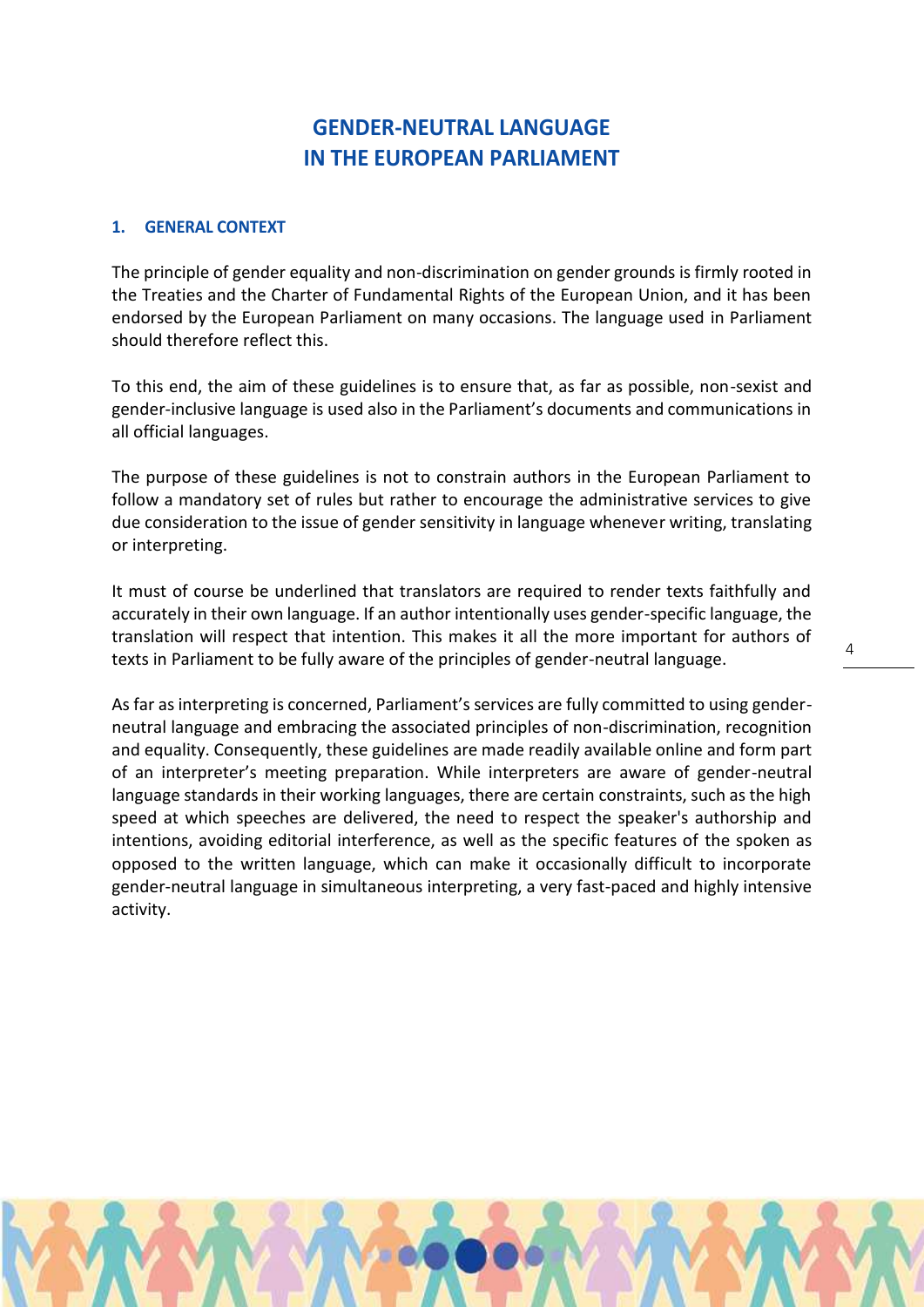# **GENDER-NEUTRAL LANGUAGE IN THE EUROPEAN PARLIAMENT**

#### **1. GENERAL CONTEXT**

The principle of gender equality and non-discrimination on gender grounds is firmly rooted in the Treaties and the Charter of Fundamental Rights of the European Union, and it has been endorsed by the European Parliament on many occasions. The language used in Parliament should therefore reflect this.

To this end, the aim of these guidelines is to ensure that, as far as possible, non-sexist and gender-inclusive language is used also in the Parliament's documents and communications in all official languages.

The purpose of these guidelines is not to constrain authors in the European Parliament to follow a mandatory set of rules but rather to encourage the administrative services to give due consideration to the issue of gender sensitivity in language whenever writing, translating or interpreting.

It must of course be underlined that translators are required to render texts faithfully and accurately in their own language. If an author intentionally uses gender-specific language, the translation will respect that intention. This makes it all the more important for authors of texts in Parliament to be fully aware of the principles of gender-neutral language.

As far as interpreting is concerned, Parliament's services are fully committed to using gender neutral language and embracing the associated principles of non-discrimination, recognition and equality. Consequently, these guidelines are made readily available online and form part of an interpreter's meeting preparation. While interpreters are aware of gender-neutral language standards in their working languages, there are certain constraints, such as the high speed at which speeches are delivered, the need to respect the speaker's authorship and intentions, avoiding editorial interference, as well as the specific features of the spoken as opposed to the written language, which can make it occasionally difficult to incorporate gender-neutral language in simultaneous interpreting, a very fast-paced and highly intensive activity.

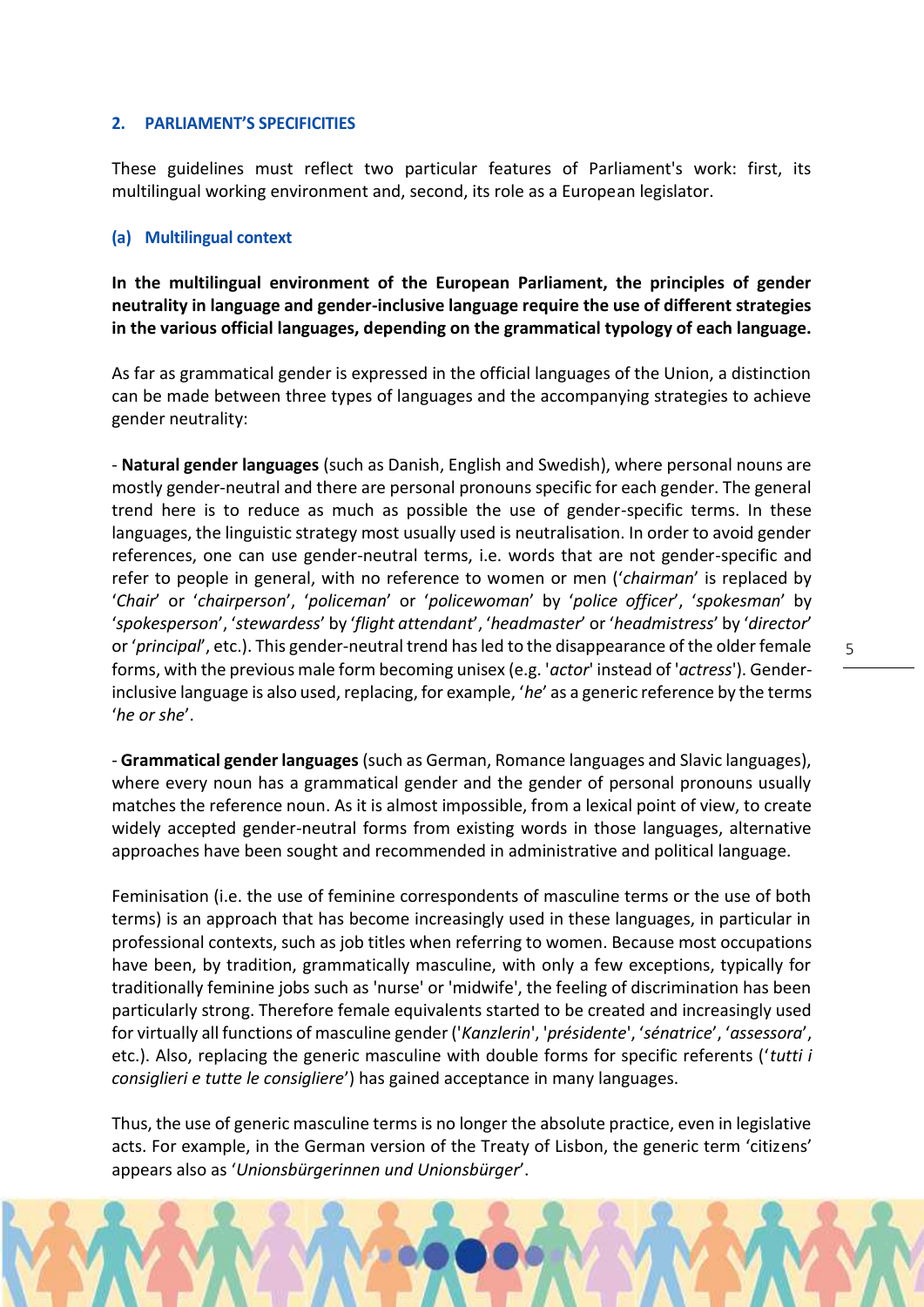# **2. PARLIAMENT'S SPECIFICITIES**

These guidelines must reflect two particular features of Parliament's work: first, its multilingual working environment and, second, its role as a European legislator.

# **(a) Multilingual context**

**In the multilingual environment of the European Parliament, the principles of gender neutrality in language and gender-inclusive language require the use of different strategies in the various official languages, depending on the grammatical typology of each language.**

As far as grammatical gender is expressed in the official languages of the Union, a distinction can be made between three types of languages and the accompanying strategies to achieve gender neutrality:

- **Natural gender languages** (such as Danish, English and Swedish), where personal nouns are mostly gender-neutral and there are personal pronouns specific for each gender. The general trend here is to reduce as much as possible the use of gender-specific terms. In these languages, the linguistic strategy most usually used is neutralisation. In order to avoid gender references, one can use gender-neutral terms, i.e. words that are not gender-specific and refer to people in general, with no reference to women or men ('*chairman*' is replaced by '*Chair*' or '*chairperson*', '*policeman*' or '*policewoman*' by '*police officer*', '*spokesman*' by '*spokesperson*', '*stewardess*' by '*flight attendant*', '*headmaster*' or '*headmistress*' by '*director*' or '*principal*', etc.). This gender-neutral trend has led to the disappearance of the older female forms, with the previous male form becoming unisex (e.g. '*actor*' instead of '*actress*'). Genderinclusive language is also used, replacing, for example, '*he*' as a generic reference by the terms '*he or she*'.

- **Grammatical gender languages** (such as German, Romance languages and Slavic languages), where every noun has a grammatical gender and the gender of personal pronouns usually matches the reference noun. As it is almost impossible, from a lexical point of view, to create widely accepted gender-neutral forms from existing words in those languages, alternative approaches have been sought and recommended in administrative and political language.

Feminisation (i.e. the use of feminine correspondents of masculine terms or the use of both terms) is an approach that has become increasingly used in these languages, in particular in professional contexts, such as job titles when referring to women. Because most occupations have been, by tradition, grammatically masculine, with only a few exceptions, typically for traditionally feminine jobs such as 'nurse' or 'midwife', the feeling of discrimination has been particularly strong. Therefore female equivalents started to be created and increasingly used for virtually all functions of masculine gender ('*Kanzlerin*', '*présidente*', '*sénatrice*', '*assessora*', etc.). Also, replacing the generic masculine with double forms for specific referents ('*tutti i consiglieri e tutte le consigliere*') has gained acceptance in many languages.

Thus, the use of generic masculine terms is no longer the absolute practice, even in legislative acts. For example, in the German version of the Treaty of Lisbon, the generic term 'citizens' appears also as '*Unionsbürgerinnen und Unionsbürger*'.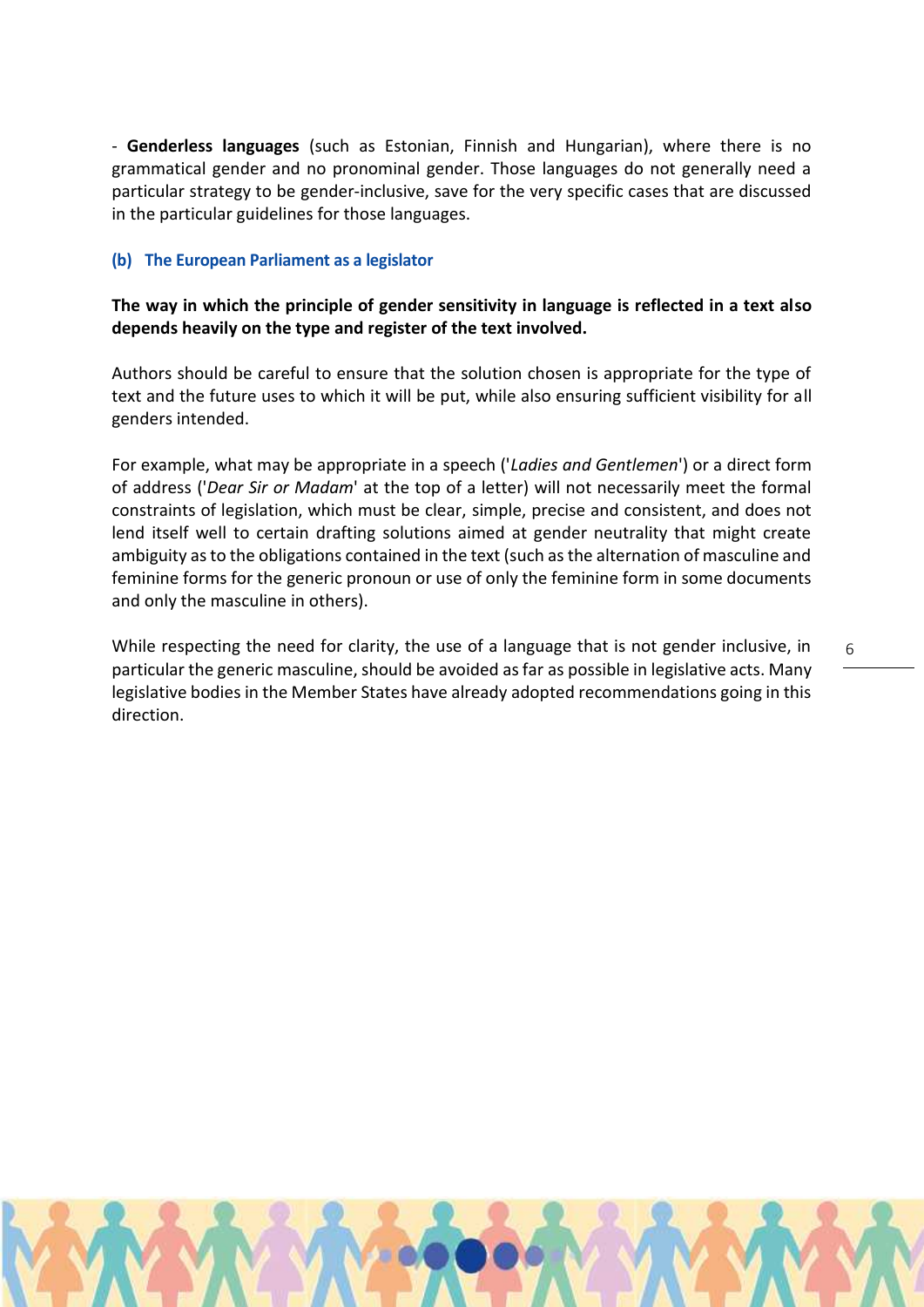- **Genderless languages** (such as Estonian, Finnish and Hungarian), where there is no grammatical gender and no pronominal gender. Those languages do not generally need a particular strategy to be gender-inclusive, save for the very specific cases that are discussed in the particular guidelines for those languages.

#### **(b) The European Parliament as a legislator**

**The way in which the principle of gender sensitivity in language is reflected in a text also depends heavily on the type and register of the text involved.**

Authors should be careful to ensure that the solution chosen is appropriate for the type of text and the future uses to which it will be put, while also ensuring sufficient visibility for all genders intended.

For example, what may be appropriate in a speech ('*Ladies and Gentlemen*') or a direct form of address ('*Dear Sir or Madam*' at the top of a letter) will not necessarily meet the formal constraints of legislation, which must be clear, simple, precise and consistent, and does not lend itself well to certain drafting solutions aimed at gender neutrality that might create ambiguity as to the obligations contained in the text (such as the alternation of masculine and feminine forms for the generic pronoun or use of only the feminine form in some documents and only the masculine in others).

While respecting the need for clarity, the use of a language that is not gender inclusive, in particular the generic masculine, should be avoided as far as possible in legislative acts. Many legislative bodies in the Member States have already adopted recommendations going in this direction.

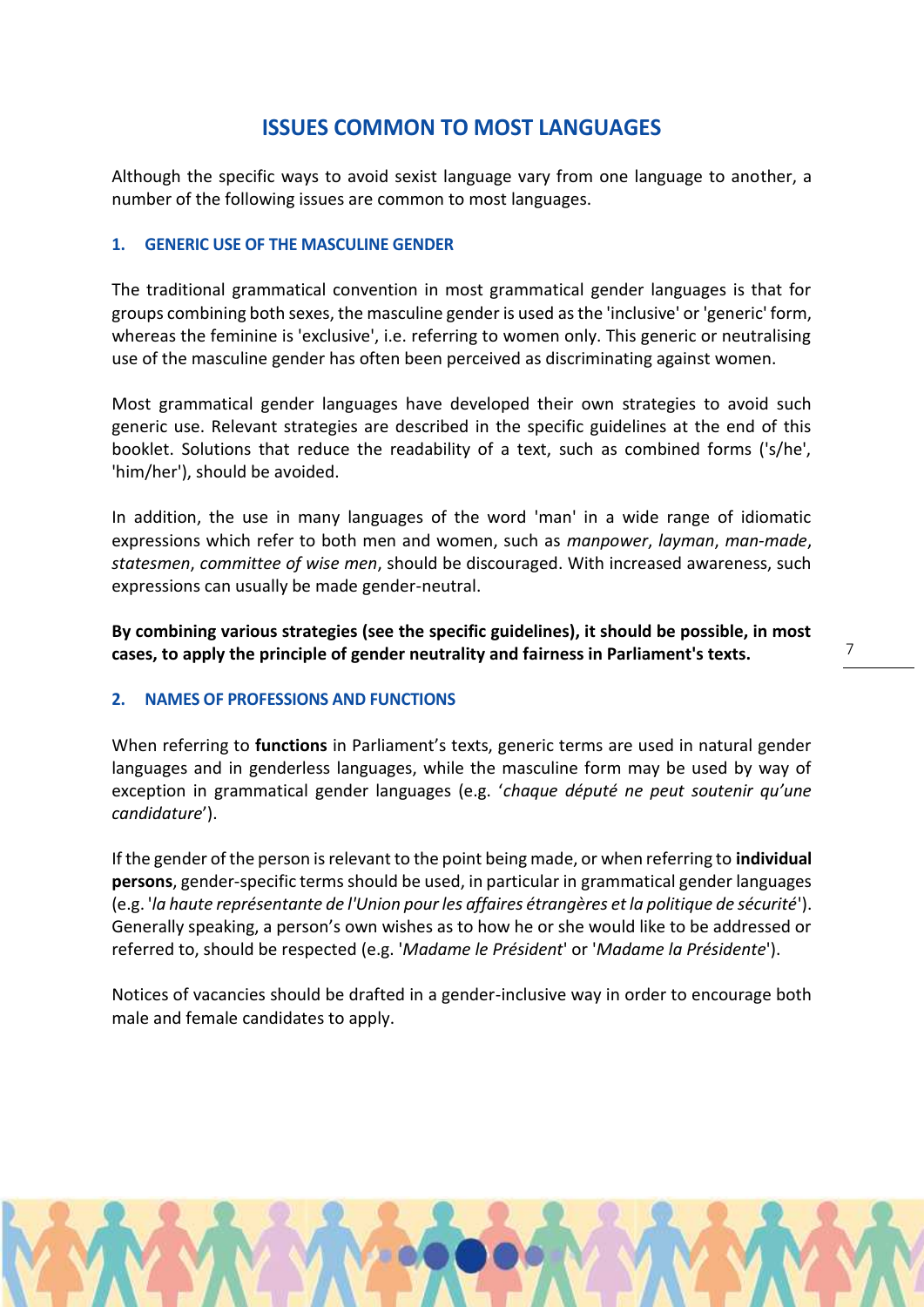# **ISSUES COMMON TO MOST LANGUAGES**

Although the specific ways to avoid sexist language vary from one language to another, a number of the following issues are common to most languages.

# **1. GENERIC USE OF THE MASCULINE GENDER**

The traditional grammatical convention in most grammatical gender languages is that for groups combining both sexes, the masculine gender is used as the 'inclusive' or 'generic' form, whereas the feminine is 'exclusive', i.e. referring to women only. This generic or neutralising use of the masculine gender has often been perceived as discriminating against women.

Most grammatical gender languages have developed their own strategies to avoid such generic use. Relevant strategies are described in the specific guidelines at the end of this booklet. Solutions that reduce the readability of a text, such as combined forms ('s/he', 'him/her'), should be avoided.

In addition, the use in many languages of the word 'man' in a wide range of idiomatic expressions which refer to both men and women, such as *manpower*, *layman*, *man-made*, *statesmen*, *committee of wise men*, should be discouraged. With increased awareness, such expressions can usually be made gender-neutral.

**By combining various strategies (see the specific guidelines), it should be possible, in most cases, to apply the principle of gender neutrality and fairness in Parliament's texts.**

# **2. NAMES OF PROFESSIONS AND FUNCTIONS**

When referring to **functions** in Parliament's texts, generic terms are used in natural gender languages and in genderless languages, while the masculine form may be used by way of exception in grammatical gender languages (e.g. '*chaque député ne peut soutenir qu'une candidature*').

If the gender of the person is relevant to the point being made, or when referring to **individual persons**, gender-specific terms should be used, in particular in grammatical gender languages (e.g. '*la haute représentante de l'Union pour les affaires étrangères et la politique de sécurité*'). Generally speaking, a person's own wishes as to how he or she would like to be addressed or referred to, should be respected (e.g. '*Madame le Président*' or '*Madame la Présidente*').

Notices of vacancies should be drafted in a gender-inclusive way in order to encourage both male and female candidates to apply.

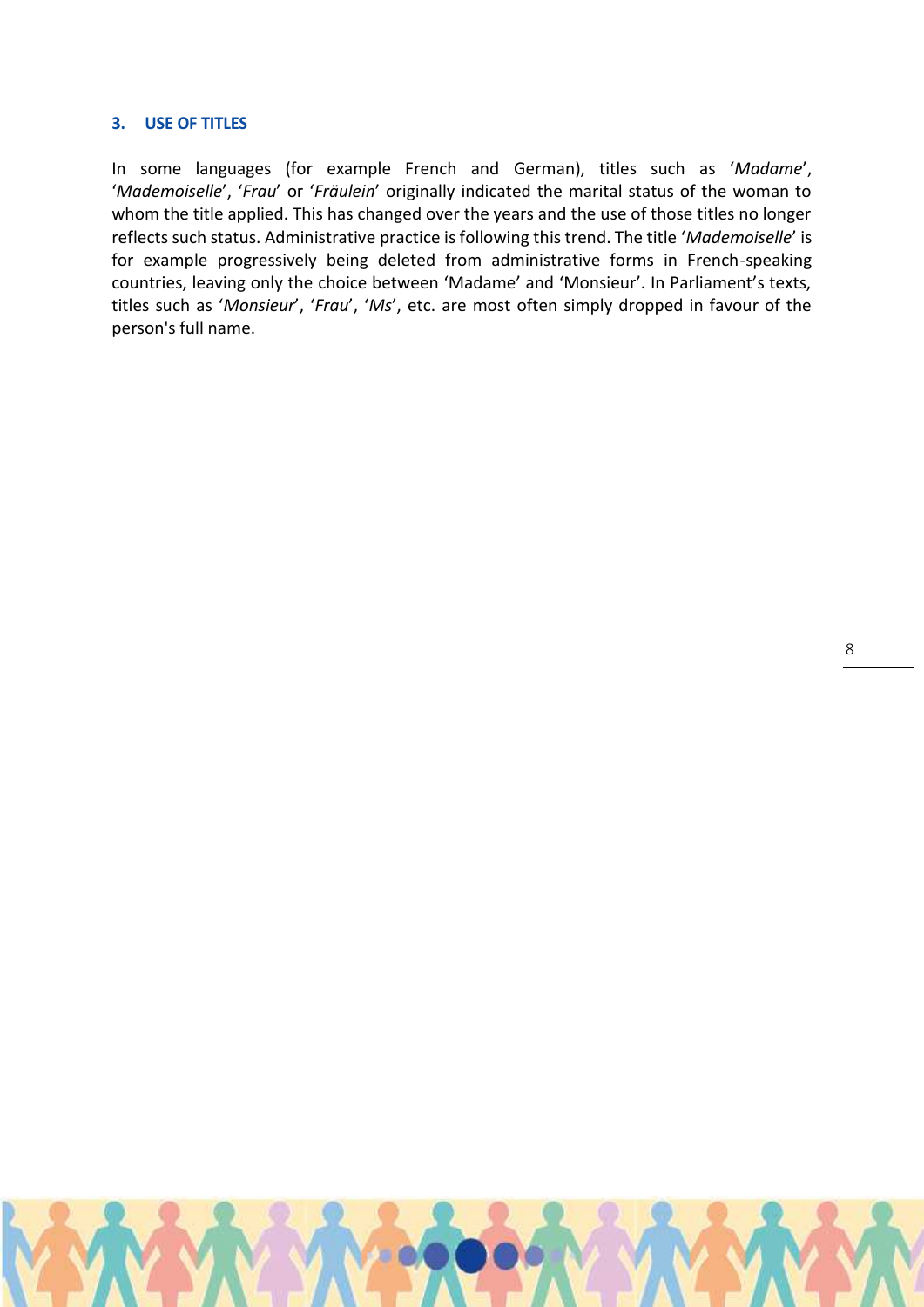#### **3. USE OF TITLES**

In some languages (for example French and German), titles such as '*Madame*', '*Mademoiselle*', '*Frau*' or '*Fräulein*' originally indicated the marital status of the woman to whom the title applied. This has changed over the years and the use of those titles no longer reflects such status. Administrative practice is following this trend. The title '*Mademoiselle*' is for example progressively being deleted from administrative forms in French-speaking countries, leaving only the choice between 'Madame' and 'Monsieur'. In Parliament's texts, titles such as '*Monsieur*', '*Frau*', '*Ms*', etc. are most often simply dropped in favour of the person's full name.

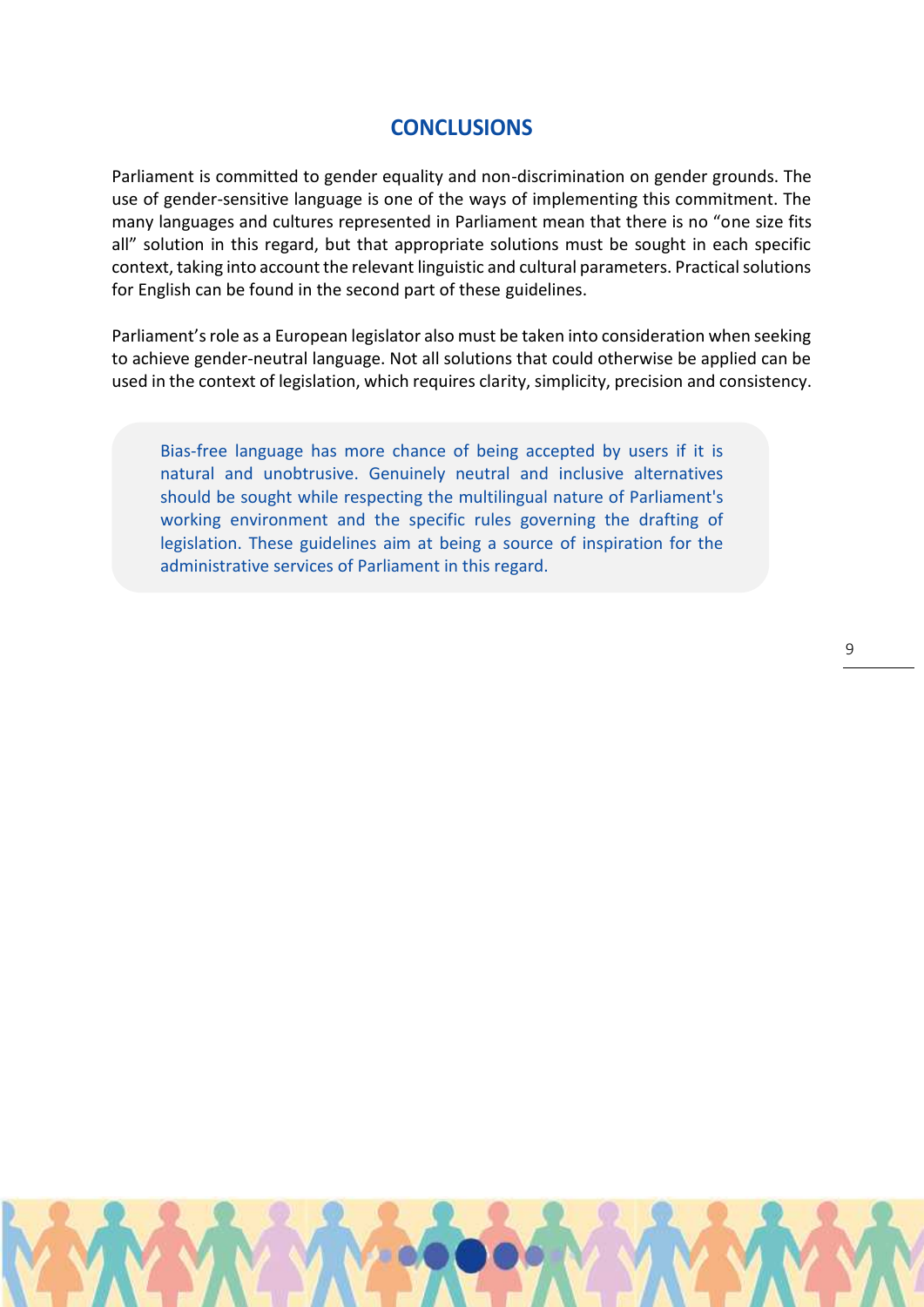# **CONCLUSIONS**

Parliament is committed to gender equality and non-discrimination on gender grounds. The use of gender-sensitive language is one of the ways of implementing this commitment. The many languages and cultures represented in Parliament mean that there is no "one size fits all" solution in this regard, but that appropriate solutions must be sought in each specific context, taking into account the relevant linguistic and cultural parameters. Practical solutions for English can be found in the second part of these guidelines.

Parliament's role as a European legislator also must be taken into consideration when seeking to achieve gender-neutral language. Not all solutions that could otherwise be applied can be used in the context of legislation, which requires clarity, simplicity, precision and consistency.

Bias-free language has more chance of being accepted by users if it is natural and unobtrusive. Genuinely neutral and inclusive alternatives should be sought while respecting the multilingual nature of Parliament's working environment and the specific rules governing the drafting of legislation. These guidelines aim at being a source of inspiration for the administrative services of Parliament in this regard.

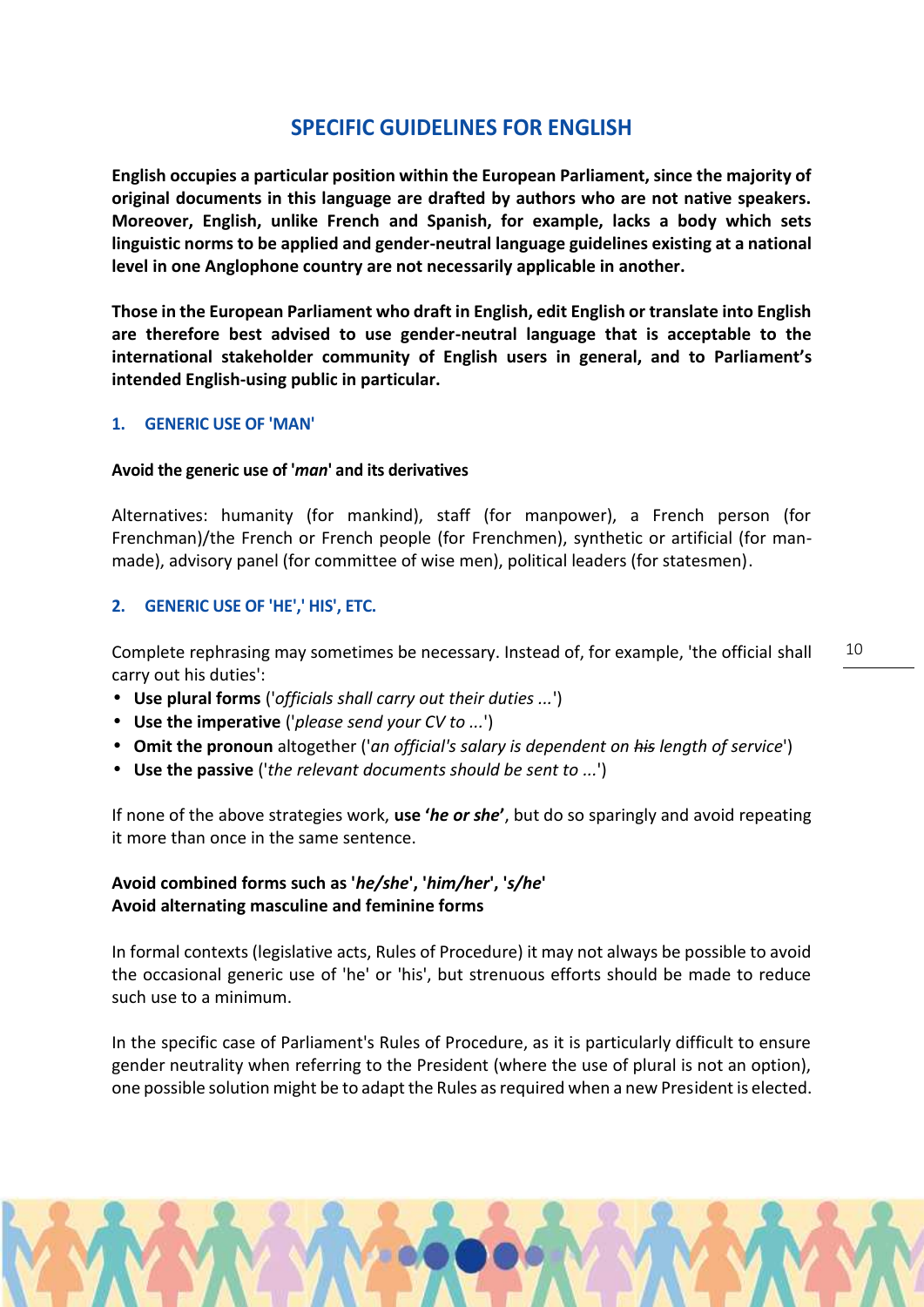# **SPECIFIC GUIDELINES FOR ENGLISH**

**English occupies a particular position within the European Parliament, since the majority of original documents in this language are drafted by authors who are not native speakers. Moreover, English, unlike French and Spanish, for example, lacks a body which sets linguistic norms to be applied and gender-neutral language guidelines existing at a national level in one Anglophone country are not necessarily applicable in another.**

**Those in the European Parliament who draft in English, edit English or translate into English are therefore best advised to use gender-neutral language that is acceptable to the international stakeholder community of English users in general, and to Parliament's intended English-using public in particular.**

# **1. GENERIC USE OF 'MAN'**

# **Avoid the generic use of '***man***' and its derivatives**

Alternatives: humanity (for mankind), staff (for manpower), a French person (for Frenchman)/the French or French people (for Frenchmen), synthetic or artificial (for man made), advisory panel (for committee of wise men), political leaders (for statesmen).

# **2. GENERIC USE OF 'HE',' HIS', ETC.**

Complete rephrasing may sometimes be necessary. Instead of, for example, 'the official shall carry out his duties':

- **Use plural forms** ('*officials shall carry out their duties ...*')
- **Use the imperative** ('*please send your CV to ...*')
- **Omit the pronoun** altogether ('*an official's salary is dependent on his length of service*')
- **Use the passive** ('*the relevant documents should be sent to ...*')

If none of the above strategies work, **use '***he or she***'**, but do so sparingly and avoid repeating it more than once in the same sentence.

# **Avoid combined forms such as '***he/she***', '***him/her***', '***s/he***' Avoid alternating masculine and feminine forms**

In formal contexts (legislative acts, Rules of Procedure) it may not always be possible to avoid the occasional generic use of 'he' or 'his', but strenuous efforts should be made to reduce such use to a minimum.

In the specific case of Parliament's Rules of Procedure, as it is particularly difficult to ensure gender neutrality when referring to the President (where the use of plural is not an option), one possible solution might be to adapt the Rules as required when a new President is elected.

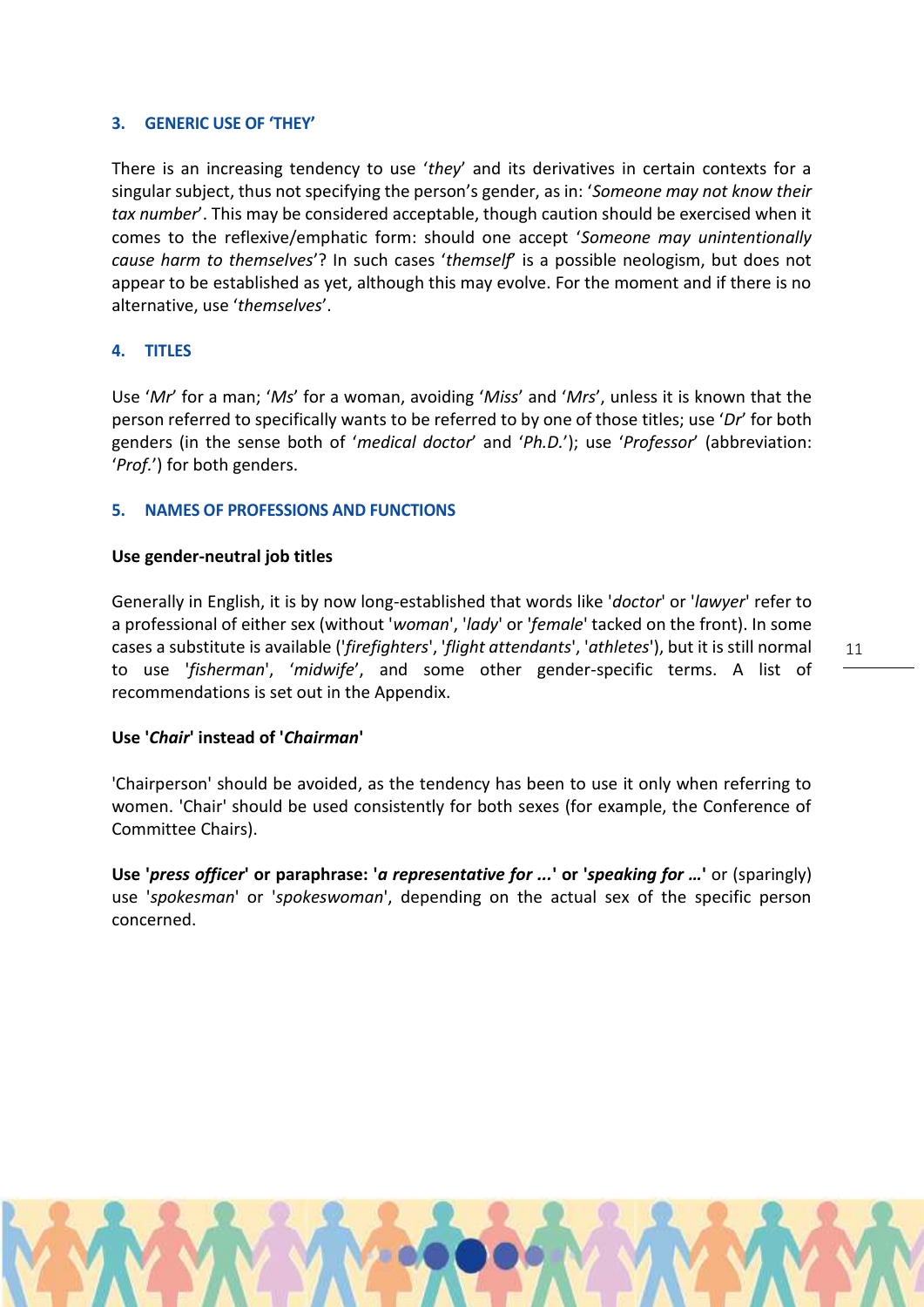# **3. GENERIC USE OF 'THEY'**

There is an increasing tendency to use '*they*' and its derivatives in certain contexts for a singular subject, thus not specifying the person's gender, as in: '*Someone may not know their tax number*'. This may be considered acceptable, though caution should be exercised when it comes to the reflexive/emphatic form: should one accept '*Someone may unintentionally cause harm to themselves*'? In such cases '*themself*' is a possible neologism, but does not appear to be established as yet, although this may evolve. For the moment and if there is no alternative, use '*themselves*'.

# **4. TITLES**

Use '*Mr*' for a man; '*Ms*' for a woman, avoiding '*Miss*' and '*Mrs*', unless it is known that the person referred to specifically wants to be referred to by one of those titles; use '*Dr*' for both genders (in the sense both of '*medical doctor*' and '*Ph.D.*'); use '*Professor*' (abbreviation: '*Prof.*') for both genders.

# **5. NAMES OF PROFESSIONS AND FUNCTIONS**

# **Use gender-neutral job titles**

Generally in English, it is by now long-established that words like '*doctor*' or '*lawyer*' refer to a professional of either sex (without '*woman*', '*lady*' or '*female*' tacked on the front). In some cases a substitute is available ('*firefighters*', '*flight attendants*', '*athletes*'), but it is still normal to use '*fisherman*', '*midwife*', and some other gender-specific terms. A list of recommendations is set out in the Appendix.

# **Use '***Chair***' instead of '***Chairman***'**

'Chairperson' should be avoided, as the tendency has been to use it only when referring to women. 'Chair' should be used consistently for both sexes (for example, the Conference of Committee Chairs).

**Use '***press officer***' or paraphrase: '***a representative for ...***' or '***speaking for …***'** or (sparingly) use '*spokesman*' or '*spokeswoman*', depending on the actual sex of the specific person concerned.

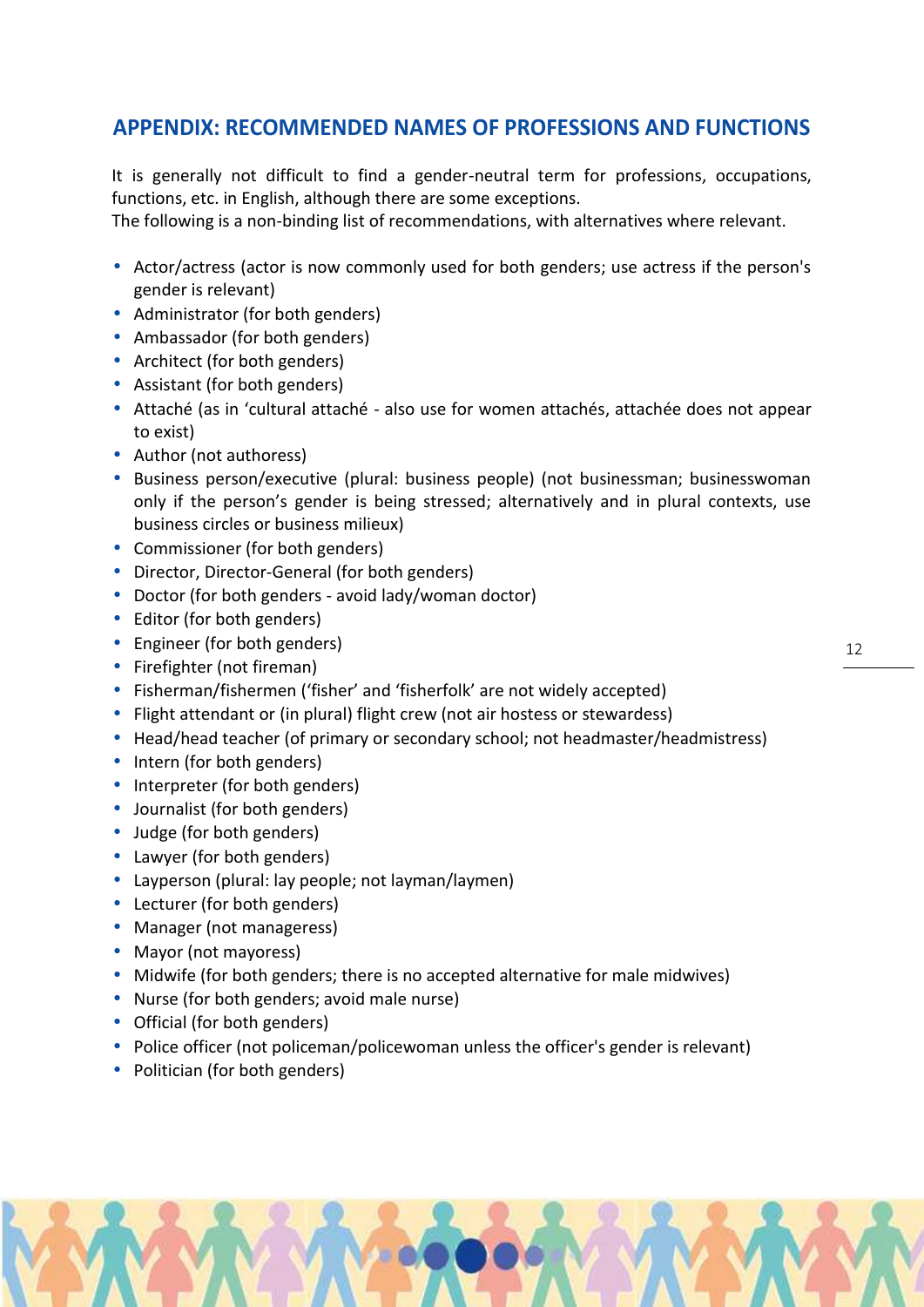# **APPENDIX: RECOMMENDED NAMES OF PROFESSIONS AND FUNCTIONS**

It is generally not difficult to find a gender-neutral term for professions, occupations, functions, etc. in English, although there are some exceptions.

The following is a non-binding list of recommendations, with alternatives where relevant.

- $\tilde{N}$  Actor/actress (actor is now commonly used for both genders; use actress if the person's gender is relevant)
- $\tilde{N}$  Administrator (for both genders)
- $\tilde{N}$  Ambassador (for both genders)
- $N$  Architect (for both genders)
- $\tilde{N}$  Assistant (for both genders)
- $\tilde{N}$  Attaché (as in 'cultural attaché also use for women attachés, attachée does not appear to exist)
- $\tilde{N}$  Author (not authoress)
- $\tilde{N}$  Business person/executive (plural: business people) (not businessman; businesswoman only if the person's gender is being stressed; alternatively and in plural contexts, use business circles or business milieux)
- $N$  Commissioner (for both genders)
- $\hat{N}$  Director, Director-General (for both genders)
- $\overline{N}$  Doctor (for both genders avoid lady/woman doctor)
- $\tilde{N}$  Editor (for both genders)
- $\tilde{N}$  Engineer (for both genders)
- $N$  Firefighter (not fireman)
- $\tilde{N}$  Fisherman/fishermen ('fisher' and 'fisherfolk' are not widely accepted)
- $\overline{N}$  Flight attendant or (in plural) flight crew (not air hostess or stewardess)
- $\tilde{N}$  Head/head teacher (of primary or secondary school; not headmaster/headmistress)
- $\tilde{N}$  Intern (for both genders)
- $\mathsf{N}\;$  Interpreter (for both genders)
- $\tilde{N}$  Journalist (for both genders)
- $N$  Judge (for both genders)
- $\tilde{N}$  Lawyer (for both genders)
- $\tilde{N}$  Layperson (plural: lay people; not layman/laymen)
- $N$  Lecturer (for both genders)
- $\bar{N}$  Manager (not manageress)
- $\tilde{N}$  Mayor (not mayoress)
- $\tilde{N}$  Midwife (for both genders; there is no accepted alternative for male midwives)
- $\overline{N}$  Nurse (for both genders; avoid male nurse)
- $\mathbb N$  Official (for both genders)
- $\tilde{N}$  Police officer (not policeman/policewoman unless the officer's gender is relevant)
- $\overline{N}$  Politician (for both genders)